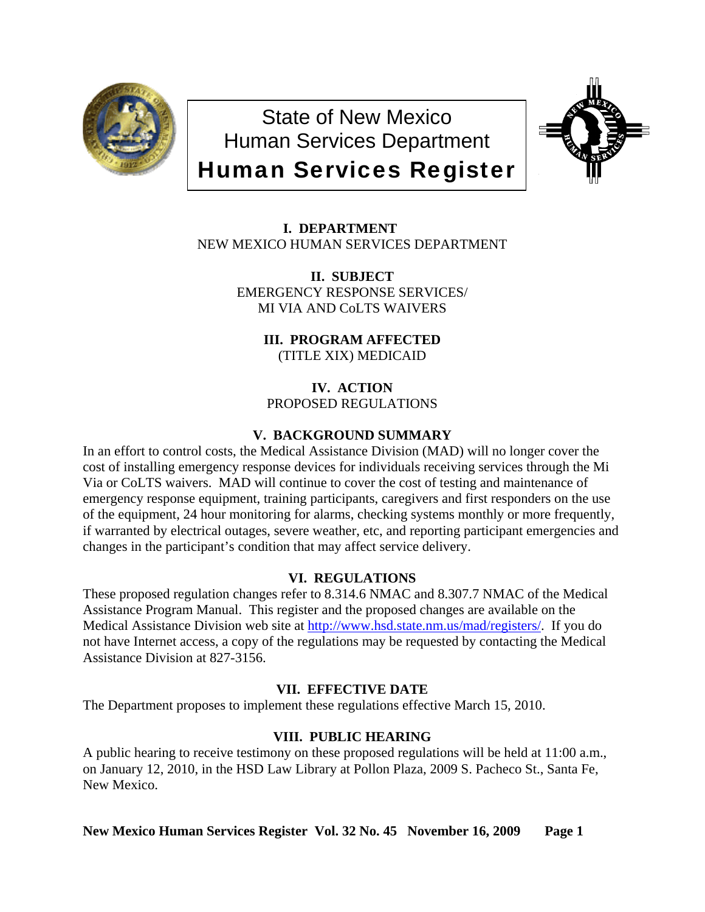

State of New Mexico Human Services Department Human Services Register



 **I. DEPARTMENT** NEW MEXICO HUMAN SERVICES DEPARTMENT

> **II. SUBJECT**  EMERGENCY RESPONSE SERVICES/ MI VIA AND CoLTS WAIVERS

> > **III. PROGRAM AFFECTED** (TITLE XIX) MEDICAID

**IV. ACTION** PROPOSED REGULATIONS

## **V. BACKGROUND SUMMARY**

In an effort to control costs, the Medical Assistance Division (MAD) will no longer cover the cost of installing emergency response devices for individuals receiving services through the Mi Via or CoLTS waivers. MAD will continue to cover the cost of testing and maintenance of emergency response equipment, training participants, caregivers and first responders on the use of the equipment, 24 hour monitoring for alarms, checking systems monthly or more frequently, if warranted by electrical outages, severe weather, etc, and reporting participant emergencies and changes in the participant's condition that may affect service delivery.

## **VI. REGULATIONS**

These proposed regulation changes refer to 8.314.6 NMAC and 8.307.7 NMAC of the Medical Assistance Program Manual. This register and the proposed changes are available on the Medical Assistance Division web site at [http://www.hsd.state.nm.us/mad/registers/.](http://www.hsd.state.nm.us/mad/registers/) If you do not have Internet access, a copy of the regulations may be requested by contacting the Medical Assistance Division at 827-3156.

# **VII. EFFECTIVE DATE**

The Department proposes to implement these regulations effective March 15, 2010.

# **VIII. PUBLIC HEARING**

A public hearing to receive testimony on these proposed regulations will be held at 11:00 a.m., on January 12, 2010, in the HSD Law Library at Pollon Plaza, 2009 S. Pacheco St., Santa Fe, New Mexico.

### **New Mexico Human Services Register Vol. 32 No. 45 November 16, 2009 Page 1**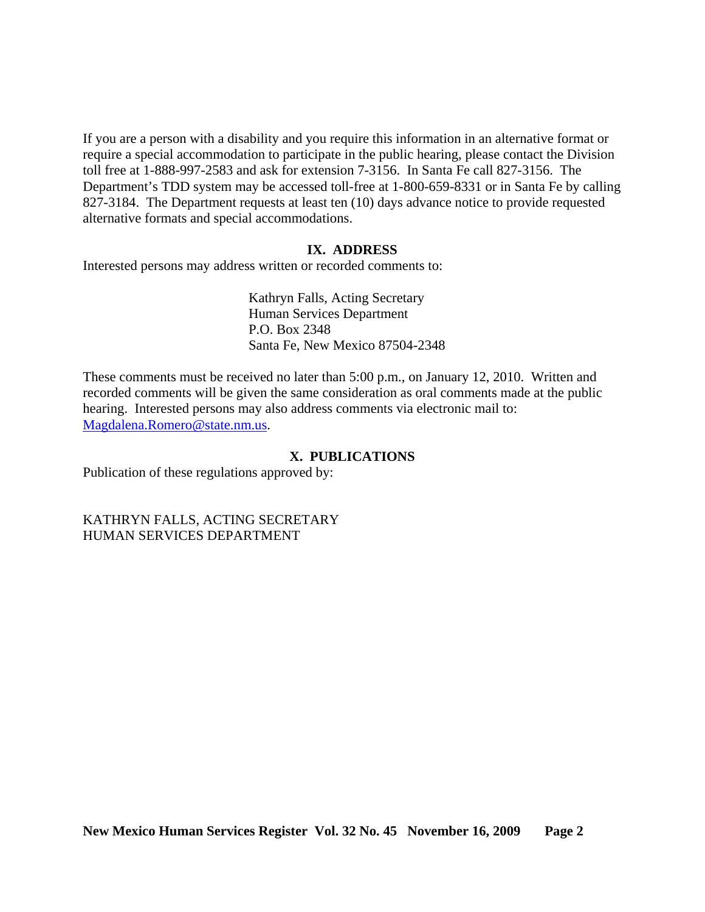If you are a person with a disability and you require this information in an alternative format or require a special accommodation to participate in the public hearing, please contact the Division toll free at 1-888-997-2583 and ask for extension 7-3156. In Santa Fe call 827-3156. The Department's TDD system may be accessed toll-free at 1-800-659-8331 or in Santa Fe by calling 827-3184. The Department requests at least ten (10) days advance notice to provide requested alternative formats and special accommodations.

### **IX. ADDRESS**

Interested persons may address written or recorded comments to:

Kathryn Falls, Acting Secretary Human Services Department P.O. Box 2348 Santa Fe, New Mexico 87504-2348

These comments must be received no later than 5:00 p.m., on January 12, 2010. Written and recorded comments will be given the same consideration as oral comments made at the public hearing. Interested persons may also address comments via electronic mail to: [Magdalena.Romero@state.nm.us.](mailto:Magdalena.Romero@state.nm.us)

### **X. PUBLICATIONS**

Publication of these regulations approved by:

KATHRYN FALLS, ACTING SECRETARY HUMAN SERVICES DEPARTMENT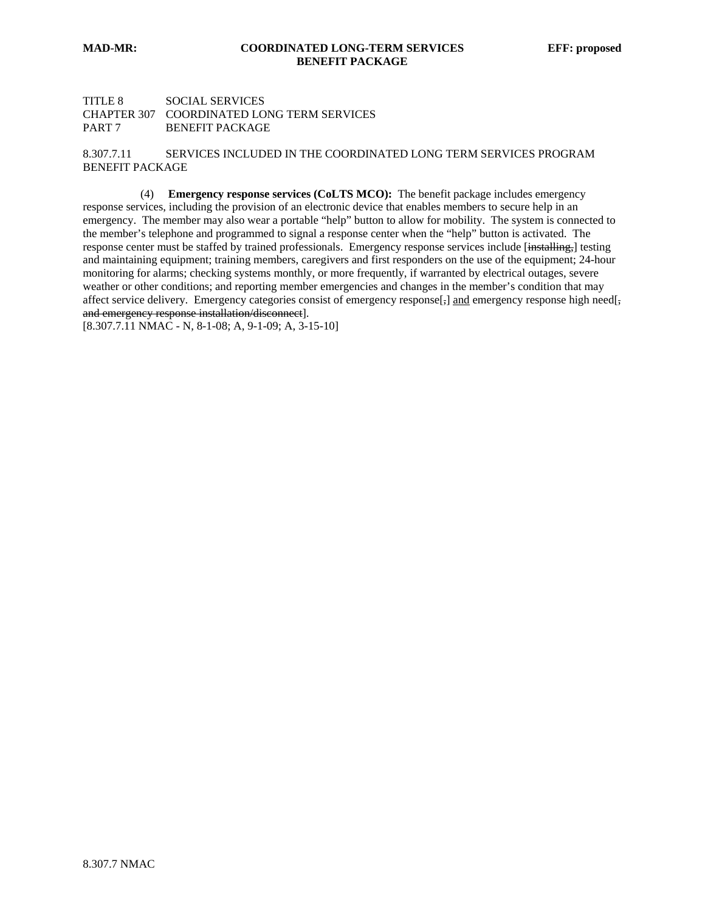#### TITLE 8 SOCIAL SERVICES CHAPTER 307 COORDINATED LONG TERM SERVICES PART 7 BENEFIT PACKAGE

8.307.7.11 SERVICES INCLUDED IN THE COORDINATED LONG TERM SERVICES PROGRAM BENEFIT PACKAGE

 (4) **Emergency response services (CoLTS MCO):**The benefit package includes emergency response services, including the provision of an electronic device that enables members to secure help in an emergency. The member may also wear a portable "help" button to allow for mobility. The system is connected to the member's telephone and programmed to signal a response center when the "help" button is activated. The response center must be staffed by trained professionals. Emergency response services include [installing,] testing and maintaining equipment; training members, caregivers and first responders on the use of the equipment; 24-hour monitoring for alarms; checking systems monthly, or more frequently, if warranted by electrical outages, severe weather or other conditions; and reporting member emergencies and changes in the member's condition that may affect service delivery. Emergency categories consist of emergency response $[\frac{1}{2}]$  and emergency response high need[ $\frac{1}{2}$ ] and emergency response installation/disconnect].

[8.307.7.11 NMAC - N, 8-1-08; A, 9-1-09; A, 3-15-10]